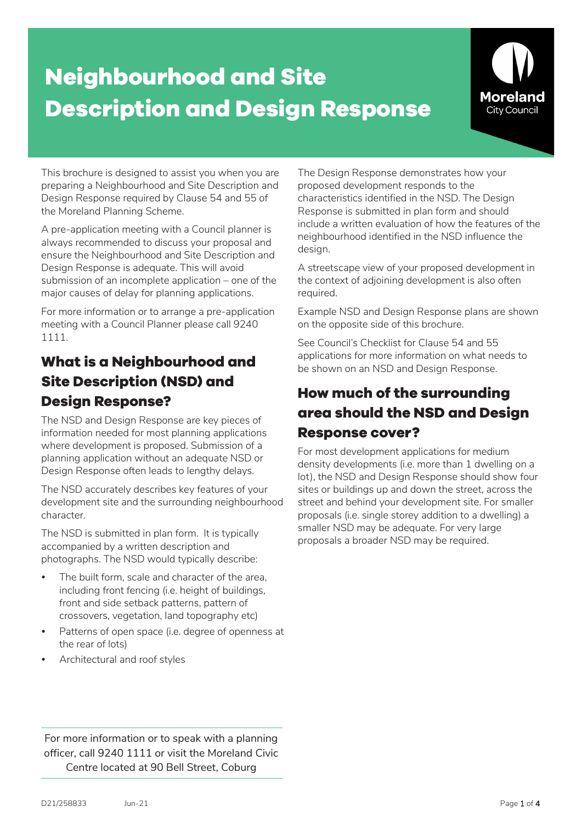# **Neighbourhood and Site Description and Design Response**



This brochure is designed to assist you when you are preparing a Neighbourhood and Site Description and Design Response required by Clause 54 and 55 of the Moreland Planning Scheme.

A pre-application meeting with a Council planner is always recommended to discuss your proposal and ensure the Neighbourhood and Site Description and Design Response is adequate. This will avoid submission of an incomplete application – one of the major causes of delay for planning applications.

For more information or to arrange a pre-application meeting with a Council Planner please call 9240 1111.

## **What is a Neighbourhood and Site Description (NSD) and Design Response?**

The NSD and Design Response are key pieces of information needed for most planning applications where development is proposed. Submission of a planning application without an adequate NSD or Design Response often leads to lengthy delays.

The NSD accurately describes key features of your development site and the surrounding neighbourhood character.

The NSD is submitted in plan form. It is typically accompanied by a written description and photographs. The NSD would typically describe:

- The built form, scale and character of the area, including front fencing (i.e. height of buildings, front and side setback patterns, pattern of crossovers, vegetation, land topography etc)
- Patterns of open space (i.e. degree of openness at the rear of lots)
- Architectural and roof styles

The Design Response demonstrates how your proposed development responds to the characteristics identified in the NSD. The Design Response is submitted in plan form and should include a written evaluation of how the features of the neighbourhood identified in the NSD influence the design.

A streetscape view of your proposed development in the context of adjoining development is also often required.

Example NSD and Design Response plans are shown on the opposite side of this brochure.

See Council's Checklist for Clause 54 and 55 applications for more information on what needs to be shown on an NSD and Design Response.

### **How much of the surrounding area should the NSD and Design Response cover?**

For most development applications for medium density developments (i.e. more than 1 dwelling on a lot), the NSD and Design Response should show four sites or buildings up and down the street, across the street and behind your development site. For smaller proposals (i.e. single storey addition to a dwelling) a smaller NSD may be adequate. For very large proposals a broader NSD may be required.

For more information or to speak with a planning officer, call 9240 1111 or visit the Moreland Civic Centre located at 90 Bell Street, Coburg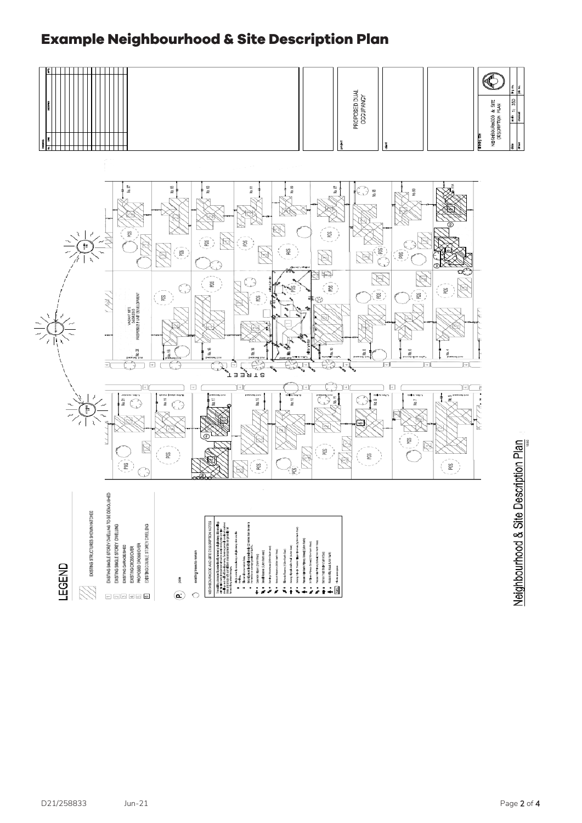#### **Example Neighbourhood & Site Description Plan**

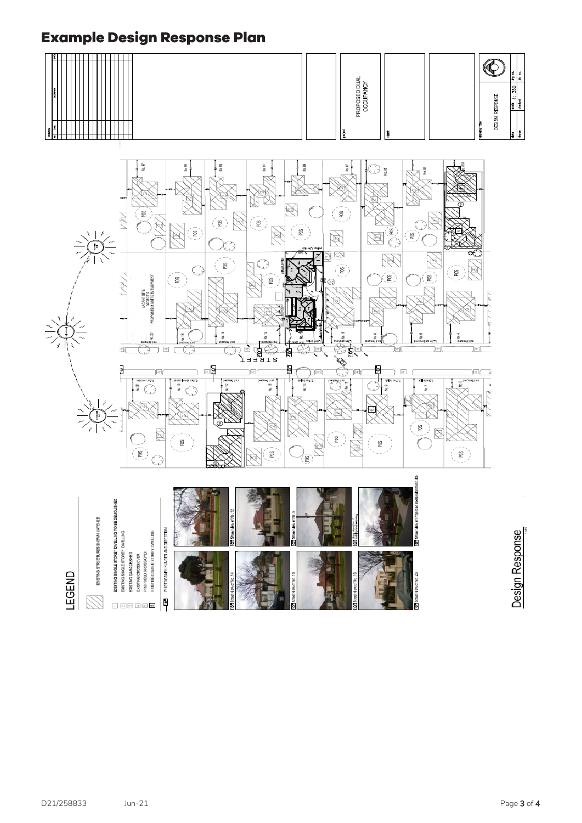### **Example Design Response Plan**

| --                                   |  | $\overline{\phantom{a}}$                    | 12 |
|--------------------------------------|--|---------------------------------------------|----|
| -<br>. .<br>ш<br><br>U)<br>PROP<br>∽ |  | ß<br>ğ<br>. .<br>$\rightarrow$<br>RESPO<br> | ъ. |
|                                      |  | -<br>u<br>뵹                                 |    |